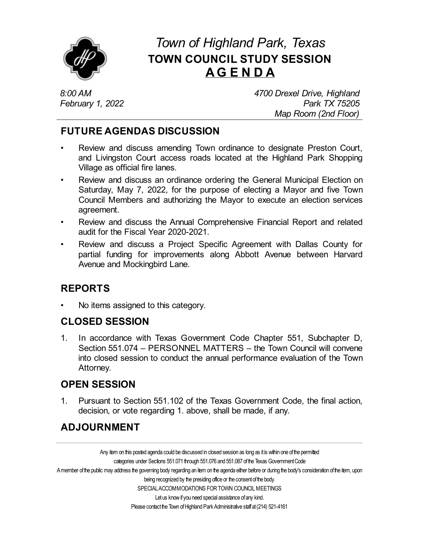

# *Town of Highland Park, Texas* **TOWN COUNCIL STUDY SESSION AG E N D A**

*8:00 AM February 1, 2022* *4700 Drexel Drive, Highland Park TX 75205 Map Room (2nd Floor)*

### **FUTURE AGENDAS DISCUSSION**

- Review and discuss amending Town ordinance to designate Preston Court, and [Livingston](file:///C:/Windows/TEMP/CoverSheet.aspx?ItemID=4544&MeetingID=738) Court access roads located at the Highland Park Shopping Village as official fire lanes.
- Review and discuss an ordinance ordering the General Municipal Election on Saturday, May 7, 2022, for the purpose of electing a Mayor and five Town Council Members and [authorizing](file:///C:/Windows/TEMP/CoverSheet.aspx?ItemID=4553&MeetingID=738) the Mayor to execute an election services agreement.
- Review and discuss the Annual [Comprehensive](file:///C:/Windows/TEMP/CoverSheet.aspx?ItemID=4554&MeetingID=738) Financial Report and related audit for the Fiscal Year 2020-2021.
- Review and discuss a Project Specific Agreement with Dallas County for partial funding for improvements along Abbott Avenue between Harvard Avenue and Mockingbird Lane.

## **REPORTS**

• No items assigned to this category.

#### **CLOSED SESSION**

1. In accordance with Texas Government Code Chapter 551, Subchapter D, Section 551.074 – PERSONNEL MATTERS – the Town Council will convene into closed session to conduct the annual performance evaluation of the Town Attorney.

#### **OPEN SESSION**

1. Pursuant to Section 551.102 of the Texas Government Code, the final action, decision, or vote regarding 1. above, shall be made, if any.

## **ADJOURNMENT**

Any item on this posted agenda could be discussed in closed session as long as it is within one of the permitted categories under Sections 551.071 through 551.076 and 551.087 of the Texas Government Code A member of the public may address the governing body regarding an item on the agenda either before or during the body's consideration of the item, upon being recognized by the presiding office or the consent of the body. SPECIAL ACCOMMODATIONS FOR TOWN COUNCIL MEETINGS Let us know if you need special assistance of any kind. Please contact the Town of Highland Park Administrative staff at (214) 521-4161